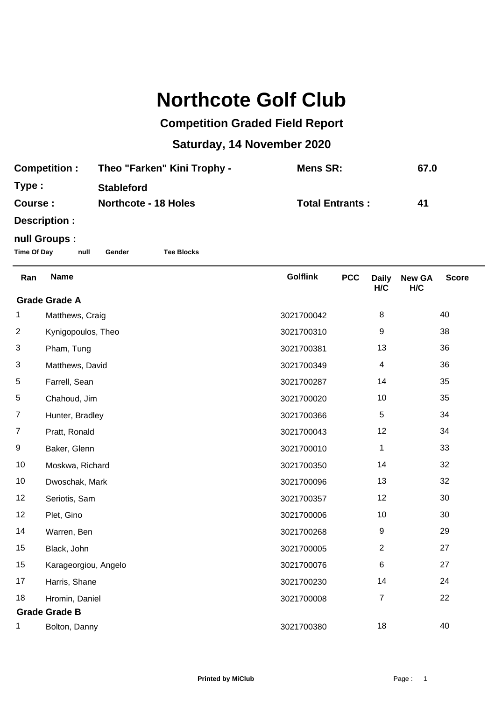## **Northcote Golf Club**

## **Competition Graded Field Report**

## **Saturday, 14 November 2020**

| <b>Competition:</b> | Theo "Farken" Kini Trophy - | Mens SR:               | 67.0 |
|---------------------|-----------------------------|------------------------|------|
| Type:               | <b>Stableford</b>           |                        |      |
| Course :            | <b>Northcote - 18 Holes</b> | <b>Total Entrants:</b> | 41   |
| Desariation :       |                             |                        |      |

**Description :**

## **null Groups :**

**Time Of Day null Gender Tee Blocks**

| Ran                                | <b>Name</b>          | <b>Golflink</b> | <b>PCC</b> | <b>Daily</b>     | <b>New GA</b> | <b>Score</b> |  |
|------------------------------------|----------------------|-----------------|------------|------------------|---------------|--------------|--|
| H/C<br>H/C<br><b>Grade Grade A</b> |                      |                 |            |                  |               |              |  |
| 1                                  | Matthews, Craig      | 3021700042      |            | 8                |               | 40           |  |
| $\overline{2}$                     | Kynigopoulos, Theo   | 3021700310      |            | $\boldsymbol{9}$ |               | 38           |  |
| 3                                  | Pham, Tung           | 3021700381      |            | 13               |               | 36           |  |
| 3                                  | Matthews, David      | 3021700349      |            | 4                |               | 36           |  |
| 5                                  | Farrell, Sean        | 3021700287      |            | 14               |               | 35           |  |
| 5                                  | Chahoud, Jim         | 3021700020      |            | 10               |               | 35           |  |
| $\overline{7}$                     | Hunter, Bradley      | 3021700366      |            | 5                |               | 34           |  |
| $\overline{7}$                     | Pratt, Ronald        | 3021700043      |            | 12               |               | 34           |  |
| 9                                  | Baker, Glenn         | 3021700010      |            | 1                |               | 33           |  |
| 10                                 | Moskwa, Richard      | 3021700350      |            | 14               |               | 32           |  |
| 10                                 | Dwoschak, Mark       | 3021700096      |            | 13               |               | 32           |  |
| 12                                 | Seriotis, Sam        | 3021700357      |            | 12               |               | 30           |  |
| 12                                 | Plet, Gino           | 3021700006      |            | 10               |               | 30           |  |
| 14                                 | Warren, Ben          | 3021700268      |            | 9                |               | 29           |  |
| 15                                 | Black, John          | 3021700005      |            | $\overline{2}$   |               | 27           |  |
| 15                                 | Karageorgiou, Angelo | 3021700076      |            | 6                |               | 27           |  |
| 17                                 | Harris, Shane        | 3021700230      |            | 14               |               | 24           |  |
| 18                                 | Hromin, Daniel       | 3021700008      |            | 7                |               | 22           |  |
| <b>Grade Grade B</b>               |                      |                 |            |                  |               |              |  |
| 1                                  | Bolton, Danny        | 3021700380      |            | 18               |               | 40           |  |